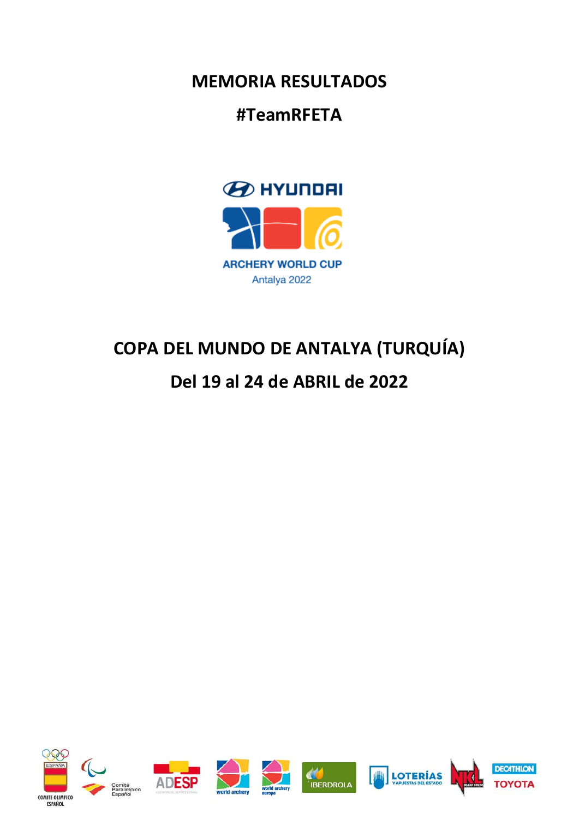**MEMORIA RESULTADOS** 

## **#TeamRFETA**



## **COPA DEL MUNDO DE ANTALYA (TURQUÍA)**

## **Del 19 al 24 de ABRIL de 2022**

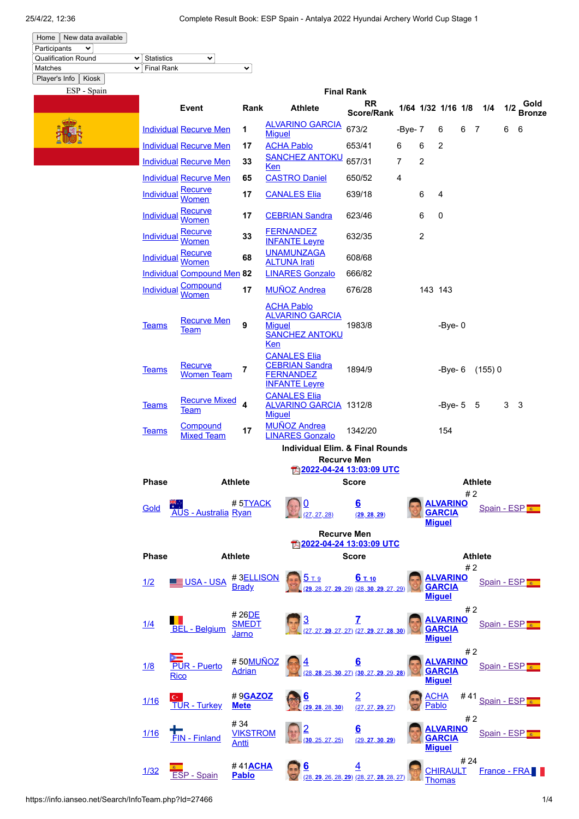| Home                       | New data available |                   |   |  |
|----------------------------|--------------------|-------------------|---|--|
| Participants               |                    |                   |   |  |
| <b>Qualification Round</b> |                    | $\vee$ Statistics | v |  |
| Matches                    |                    | $\vee$ Final Rank |   |  |
|                            | $ -$               |                   |   |  |

## Player's Info | Kiosk | ESP - Spain

|                                                 |                                   |                                        |                                                                                              | <b>Final Rank</b>                                                           |           |                      |                                                   |          |                |     |                       |
|-------------------------------------------------|-----------------------------------|----------------------------------------|----------------------------------------------------------------------------------------------|-----------------------------------------------------------------------------|-----------|----------------------|---------------------------------------------------|----------|----------------|-----|-----------------------|
|                                                 | Event                             | Rank                                   | <b>Athlete</b>                                                                               | <b>RR</b><br><b>Score/Rank</b>                                              |           |                      | 1/64 1/32 1/16 1/8                                |          | 1/4            | 1/2 | Gold<br><b>Bronze</b> |
|                                                 | <b>Individual Recurve Men</b>     | 1                                      | <b>ALVARINO GARCIA</b><br><b>Miguel</b>                                                      | 673/2                                                                       | -Bye- $7$ |                      | 6                                                 | 6<br>- 7 |                | 6   | 6                     |
|                                                 | <b>Individual Recurve Men</b>     | 17                                     | <b>ACHA Pablo</b>                                                                            | 653/41                                                                      | 6         | 6                    | 2                                                 |          |                |     |                       |
|                                                 | <b>Individual Recurve Men</b>     | 33                                     | <b>SANCHEZ ANTOKU</b><br><b>Ken</b>                                                          | 657/31                                                                      | 7         | $\overline{2}$       |                                                   |          |                |     |                       |
|                                                 | <b>Individual Recurve Men</b>     | 65                                     | <b>CASTRO Daniel</b>                                                                         | 650/52                                                                      | 4         |                      |                                                   |          |                |     |                       |
| <b>Individual</b>                               | <b>Recurve</b><br>Women           | 17                                     | <b>CANALES Elia</b>                                                                          | 639/18                                                                      |           | 6                    | 4                                                 |          |                |     |                       |
| <b>Individual</b>                               | <b>Recurve</b><br>Women           | 17                                     | <b>CEBRIAN Sandra</b>                                                                        | 623/46                                                                      |           | 6                    | 0                                                 |          |                |     |                       |
| <b>Individual</b>                               | <u>Recurve</u><br>Women           | 33                                     | <b>FERNANDEZ</b><br><b>INFANTE Leyre</b>                                                     | 632/35                                                                      |           | 2                    |                                                   |          |                |     |                       |
| <b>Individual</b>                               | Recurve<br>Women                  | 68                                     | <b>UNAMUNZAGA</b><br><b>ALTUNA Irati</b>                                                     | 608/68                                                                      |           |                      |                                                   |          |                |     |                       |
|                                                 | <b>Individual Compound Men 82</b> |                                        | <b>LINARES Gonzalo</b>                                                                       | 666/82                                                                      |           |                      |                                                   |          |                |     |                       |
| Individual                                      | Compound<br>Women                 | 17                                     | <b>MUÑOZ Andrea</b>                                                                          | 676/28                                                                      |           | 143 143              |                                                   |          |                |     |                       |
| <b>Teams</b>                                    | <b>Recurve Men</b><br><u>Team</u> | 9                                      | <b>ACHA Pablo</b><br><b>ALVARINO GARCIA</b><br><b>Miquel</b><br><b>SANCHEZ ANTOKU</b><br>Ken | 1983/8                                                                      |           |                      | $-Bye-0$                                          |          |                |     |                       |
| <b>Teams</b>                                    | Recurve<br><b>Women Team</b>      | 7                                      | <b>CANALES Elia</b><br><b>CEBRIAN Sandra</b><br><b>FERNANDEZ</b><br><b>INFANTE Leyre</b>     | 1894/9                                                                      |           |                      | $-Bye-6$                                          |          | (155)0         |     |                       |
| <b>Teams</b>                                    | <b>Recurve Mixed</b><br>Team      | 4                                      | <b>CANALES Elia</b><br><b>ALVARINO GARCIA 1312/8</b><br><b>Miguel</b>                        |                                                                             |           |                      | -Bye- 5                                           |          | 5              | 3   | - 3                   |
| <b>Teams</b>                                    | Compound<br><b>Mixed Team</b>     | 17                                     | <b>MUÑOZ Andrea</b><br><b>LINARES Gonzalo</b>                                                | 1342/20                                                                     |           |                      | 154                                               |          |                |     |                       |
|                                                 |                                   |                                        | <b>Individual Elim. &amp; Final Rounds</b>                                                   |                                                                             |           |                      |                                                   |          |                |     |                       |
|                                                 |                                   |                                        |                                                                                              | <b>Recurve Men</b>                                                          |           |                      |                                                   |          |                |     |                       |
| <b>Phase</b><br><b>Athlete</b>                  |                                   |                                        | <u> 7 2022-04-24 13:03:09 UTC</u><br><b>Score</b>                                            |                                                                             |           | <b>Athlete</b>       |                                                   |          |                |     |                       |
| Gold                                            | <b>AUS - Australia Ryan</b>       | #5TYACK                                | (27, 27, 28)                                                                                 | <u>6</u><br>(29, 28, 29)                                                    |           |                      | <b>ALVARINO</b><br><b>GARCIA</b>                  | #2       | Spain - ESP    |     |                       |
|                                                 |                                   |                                        |                                                                                              |                                                                             |           |                      | <b>Miguel</b>                                     |          |                |     |                       |
| <b>Recurve Men</b><br>因 2022-04-24 13:03:09 UTC |                                   |                                        |                                                                                              |                                                                             |           |                      |                                                   |          |                |     |                       |
| <b>Phase</b>                                    |                                   | <b>Athlete</b>                         |                                                                                              | <b>Score</b>                                                                |           |                      |                                                   |          | <b>Athlete</b> |     |                       |
| 1/2                                             | <b>■ USA - USA</b>                | #3ELLISON<br><b>Brady</b>              | 57.9                                                                                         | 6 T. 10<br><b>29</b> , 28, 27, <b>29</b> , 29) (28, <b>30, 29</b> , 27, 29) |           |                      | ALVARINO<br><b>GARCIA</b><br><b>Miguel</b>        | #2       | Spain - ESP    |     |                       |
| 1/4                                             | <b>BEL</b> - Belgium              | #26DE<br>SMEDT<br>Jarno                |                                                                                              | 7<br>(27. 27. 29, 27, 27) (27, 29, 27, 28, 30)                              |           |                      | <b>ALVARINO</b><br><b>GARCIA</b><br><b>Miguel</b> | # 2      | Spain - ESP    |     |                       |
| 1/8                                             | <b>PUR - Puerto</b><br>Rico       | #50MUÑOZ<br><b>Adrian</b>              | 4                                                                                            | 6<br>(28, 28, 25, 30, 27) (30, 27, 29, 29, 28)                              |           |                      | <b>ALVARINO</b><br><b>GARCIA</b><br><b>Miguel</b> | #2       | Spain - ESP    |     |                       |
| 1/16                                            | <b>TUR - Turkey</b>               | #9GAZOZ<br><b>Mete</b>                 | 6<br>(29, 28, 28, 30)                                                                        | $\overline{2}$<br>(27, 27, 29, 27)                                          |           | <b>ACHA</b><br>Pablo |                                                   | #41      | Spain - ESP    |     |                       |
| 1/16                                            | FIN - Finland                     | #34<br><b>VIKSTROM</b><br><b>Antti</b> | $\overline{2}$<br>(30, 25, 27, 25)                                                           | 6<br>(29, 27, 30, 29)                                                       |           |                      | <b>ALVARINO</b><br><b>GARCIA</b>                  | # 2      | Spain - ESP    |     |                       |

 $\frac{4}{4}$  41**ACHA 6** 4  $\frac{4}{4}$ 

4

(28, 27, **28**[, 28, 27\)](https://info.ianseo.net/Finals/brackets.php?type=0&Event=RM&Match=74)

(28, **29**[, 26, 28,](https://info.ianseo.net/Finals/brackets.php?type=0&Event=RM&Match=74) **29**)

**Miguel**

[CHIRAULT](https://info.ianseo.net/Search/Info.php?Id=217138) Thomas

**Antti** 

#41**[ACHA](https://info.ianseo.net/Search/Info.php?Id=217158) Pablo**

[1/32](https://info.ianseo.net/Finals/brackets.php?type=0&Phase=32&Event=RM) **ESP - [Spain](https://info.ianseo.net/Search/InfoTeam.php?Id=27466)** 

[France](https://info.ianseo.net/Search/InfoTeam.php?Id=27469) - FRA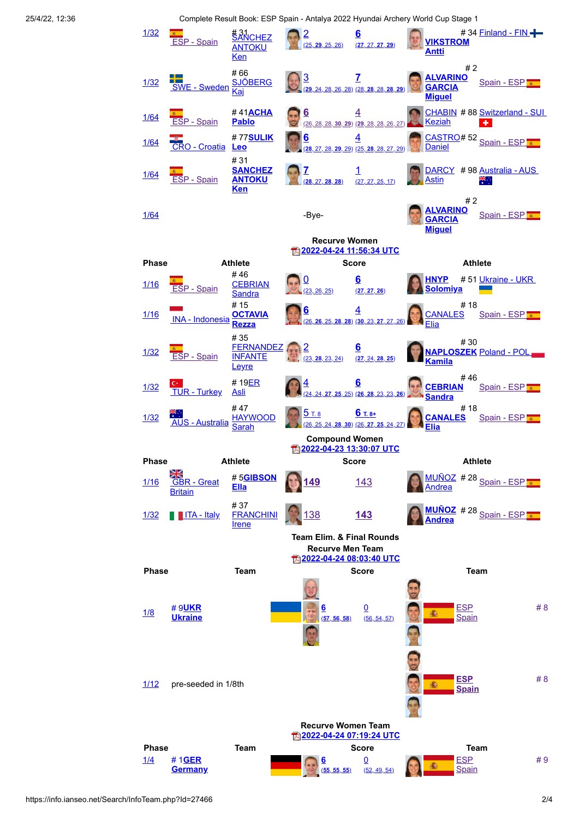25/4/22, 12:36 Complete Result Book: ESP Spain - Antalya 2022 Hyundai Archery World Cup Stage 1

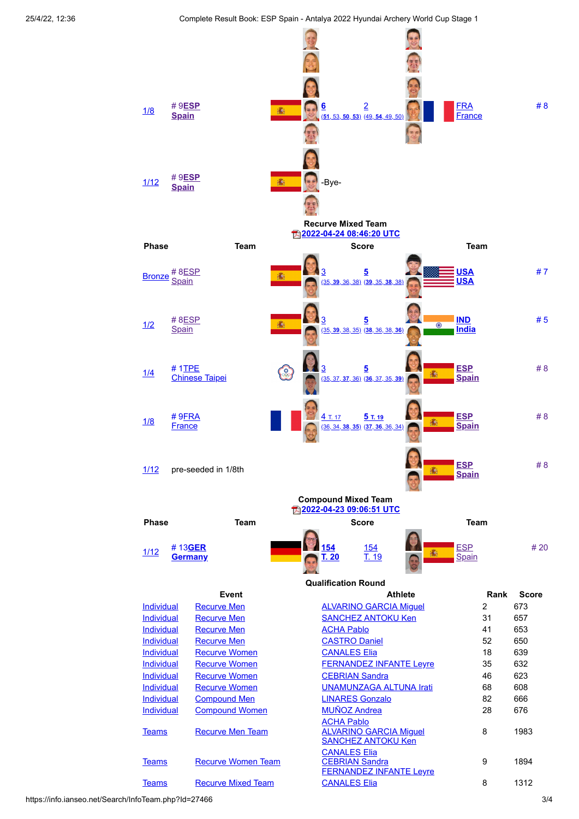25/4/22, 12:36 Complete Result Book: ESP Spain - Antalya 2022 Hyundai Archery World Cup Stage 1



https://info.ianseo.net/Search/InfoTeam.php?Id=27466 3/4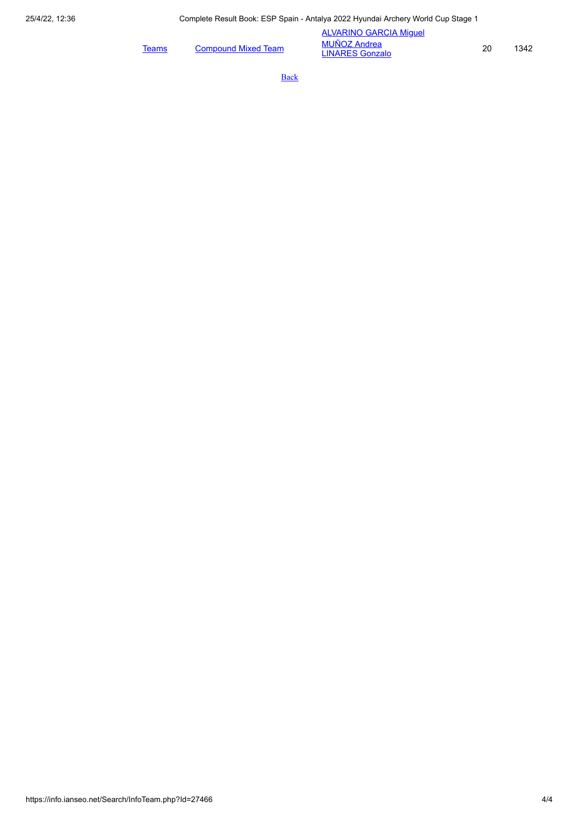|       |                            | <b>ALVARINO GARCIA Miquel</b>                 |    |      |
|-------|----------------------------|-----------------------------------------------|----|------|
| Teams | <b>Compound Mixed Team</b> | <b>MUÑOZ Andrea</b><br><b>LINARES Gonzalo</b> | 20 | 1342 |

**[Back](javascript:history.back())**